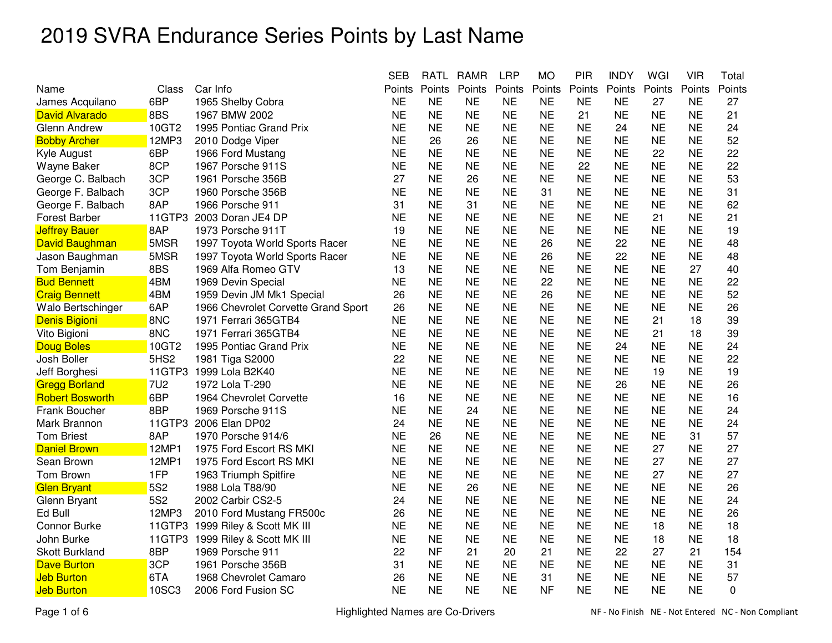|                        |                  |                                     | <b>SEB</b> | <b>RATL</b> | <b>RAMR</b> | <b>LRP</b> | <b>MO</b> | <b>PIR</b> | <b>INDY</b> | WGI       | <b>VIR</b> | Total    |
|------------------------|------------------|-------------------------------------|------------|-------------|-------------|------------|-----------|------------|-------------|-----------|------------|----------|
| Name                   | Class            | Car Info                            | Points     | Points      | Points      | Points     | Points    | Points     | Points      | Points    | Points     | Points   |
| James Acquilano        | 6BP              | 1965 Shelby Cobra                   | <b>NE</b>  | <b>NE</b>   | NE          | <b>NE</b>  | <b>NE</b> | <b>NE</b>  | <b>NE</b>   | 27        | <b>NE</b>  | 27       |
| <b>David Alvarado</b>  | 8BS              | 1967 BMW 2002                       | <b>NE</b>  | <b>NE</b>   | <b>NE</b>   | <b>NE</b>  | <b>NE</b> | 21         | <b>NE</b>   | <b>NE</b> | <b>NE</b>  | 21       |
| <b>Glenn Andrew</b>    | 10GT2            | 1995 Pontiac Grand Prix             | <b>NE</b>  | <b>NE</b>   | <b>NE</b>   | <b>NE</b>  | <b>NE</b> | <b>NE</b>  | 24          | <b>NE</b> | <b>NE</b>  | 24       |
| <b>Bobby Archer</b>    | 12MP3            | 2010 Dodge Viper                    | <b>NE</b>  | 26          | 26          | <b>NE</b>  | <b>NE</b> | <b>NE</b>  | <b>NE</b>   | <b>NE</b> | <b>NE</b>  | 52       |
| Kyle August            | 6BP              | 1966 Ford Mustang                   | <b>NE</b>  | <b>NE</b>   | <b>NE</b>   | <b>NE</b>  | <b>NE</b> | <b>NE</b>  | <b>NE</b>   | 22        | <b>NE</b>  | 22       |
| Wayne Baker            | 8CP              | 1967 Porsche 911S                   | <b>NE</b>  | <b>NE</b>   | <b>NE</b>   | <b>NE</b>  | <b>NE</b> | 22         | <b>NE</b>   | NΕ        | NE         | 22       |
| George C. Balbach      | 3CP              | 1961 Porsche 356B                   | 27         | <b>NE</b>   | 26          | <b>NE</b>  | <b>NE</b> | <b>NE</b>  | <b>NE</b>   | <b>NE</b> | <b>NE</b>  | 53       |
| George F. Balbach      | 3CP              | 1960 Porsche 356B                   | <b>NE</b>  | <b>NE</b>   | <b>NE</b>   | <b>NE</b>  | 31        | <b>NE</b>  | <b>NE</b>   | <b>NE</b> | <b>NE</b>  | 31       |
| George F. Balbach      | 8AP              | 1966 Porsche 911                    | 31         | <b>NE</b>   | 31          | <b>NE</b>  | <b>NE</b> | <b>NE</b>  | <b>NE</b>   | <b>NE</b> | <b>NE</b>  | 62       |
| <b>Forest Barber</b>   | 11GTP3           | 2003 Doran JE4 DP                   | <b>NE</b>  | <b>NE</b>   | <b>NE</b>   | <b>NE</b>  | <b>NE</b> | <b>NE</b>  | <b>NE</b>   | 21        | <b>NE</b>  | 21       |
| <b>Jeffrey Bauer</b>   | 8AP              | 1973 Porsche 911T                   | 19         | <b>NE</b>   | <b>NE</b>   | <b>NE</b>  | <b>NE</b> | <b>NE</b>  | <b>NE</b>   | <b>NE</b> | <b>NE</b>  | 19       |
| David Baughman         | 5MSR             | 1997 Toyota World Sports Racer      | <b>NE</b>  | <b>NE</b>   | <b>NE</b>   | <b>NE</b>  | 26        | <b>NE</b>  | 22          | <b>NE</b> | <b>NE</b>  | 48       |
| Jason Baughman         | 5MSR             | 1997 Toyota World Sports Racer      | <b>NE</b>  | <b>NE</b>   | <b>NE</b>   | <b>NE</b>  | 26        | <b>NE</b>  | 22          | <b>NE</b> | <b>NE</b>  | 48       |
| Tom Benjamin           | 8BS              | 1969 Alfa Romeo GTV                 | 13         | <b>NE</b>   | <b>NE</b>   | <b>NE</b>  | <b>NE</b> | <b>NE</b>  | <b>NE</b>   | <b>NE</b> | 27         | 40       |
| <b>Bud Bennett</b>     | 4BM              | 1969 Devin Special                  | <b>NE</b>  | <b>NE</b>   | <b>NE</b>   | <b>NE</b>  | 22        | <b>NE</b>  | <b>NE</b>   | <b>NE</b> | <b>NE</b>  | 22       |
| <b>Craig Bennett</b>   | 4BM              | 1959 Devin JM Mk1 Special           | 26         | <b>NE</b>   | <b>NE</b>   | <b>NE</b>  | 26        | <b>NE</b>  | <b>NE</b>   | <b>NE</b> | <b>NE</b>  | 52       |
| Walo Bertschinger      | 6AP              | 1966 Chevrolet Corvette Grand Sport | 26         | <b>NE</b>   | <b>NE</b>   | <b>NE</b>  | <b>NE</b> | <b>NE</b>  | <b>NE</b>   | <b>NE</b> | <b>NE</b>  | 26       |
| Denis Bigioni          | 8NC              | 1971 Ferrari 365GTB4                | <b>NE</b>  | <b>NE</b>   | <b>NE</b>   | <b>NE</b>  | <b>NE</b> | <b>NE</b>  | <b>NE</b>   | 21        | 18         | 39       |
| Vito Bigioni           | 8NC              | 1971 Ferrari 365GTB4                | <b>NE</b>  | <b>NE</b>   | <b>NE</b>   | <b>NE</b>  | <b>NE</b> | <b>NE</b>  | <b>NE</b>   | 21        | 18         | 39       |
| <b>Doug Boles</b>      | 10GT2            | 1995 Pontiac Grand Prix             | <b>NE</b>  | <b>NE</b>   | <b>NE</b>   | <b>NE</b>  | <b>NE</b> | <b>NE</b>  | 24          | <b>NE</b> | <b>NE</b>  | 24       |
| Josh Boller            | 5HS <sub>2</sub> | 1981 Tiga S2000                     | 22         | <b>NE</b>   | <b>NE</b>   | <b>NE</b>  | <b>NE</b> | <b>NE</b>  | <b>NE</b>   | <b>NE</b> | <b>NE</b>  | 22       |
| Jeff Borghesi          | 11GTP3           | 1999 Lola B2K40                     | <b>NE</b>  | <b>NE</b>   | <b>NE</b>   | <b>NE</b>  | <b>NE</b> | <b>NE</b>  | <b>NE</b>   | 19        | <b>NE</b>  | 19       |
| <b>Gregg Borland</b>   | <b>7U2</b>       | 1972 Lola T-290                     | <b>NE</b>  | <b>NE</b>   | <b>NE</b>   | <b>NE</b>  | <b>NE</b> | <b>NE</b>  | 26          | <b>NE</b> | <b>NE</b>  | 26       |
| <b>Robert Bosworth</b> | 6BP              | 1964 Chevrolet Corvette             | 16         | <b>NE</b>   | <b>NE</b>   | <b>NE</b>  | <b>NE</b> | <b>NE</b>  | ΝE          | <b>NE</b> | <b>NE</b>  | 16       |
| Frank Boucher          | 8BP              | 1969 Porsche 911S                   | <b>NE</b>  | <b>NE</b>   | 24          | <b>NE</b>  | <b>NE</b> | <b>NE</b>  | <b>NE</b>   | <b>NE</b> | <b>NE</b>  | 24       |
| Mark Brannon           | 11GTP3           | 2006 Elan DP02                      | 24         | <b>NE</b>   | <b>NE</b>   | <b>NE</b>  | <b>NE</b> | <b>NE</b>  | <b>NE</b>   | <b>NE</b> | <b>NE</b>  | 24       |
| <b>Tom Briest</b>      | 8AP              | 1970 Porsche 914/6                  | <b>NE</b>  | 26          | <b>NE</b>   | <b>NE</b>  | <b>NE</b> | <b>NE</b>  | <b>NE</b>   | <b>NE</b> | 31         | 57       |
| <b>Daniel Brown</b>    | 12MP1            | 1975 Ford Escort RS MKI             | <b>NE</b>  | <b>NE</b>   | <b>NE</b>   | <b>NE</b>  | <b>NE</b> | <b>NE</b>  | <b>NE</b>   | 27        | <b>NE</b>  | 27       |
| Sean Brown             | 12MP1            | 1975 Ford Escort RS MKI             | <b>NE</b>  | <b>NE</b>   | <b>NE</b>   | <b>NE</b>  | <b>NE</b> | <b>NE</b>  | NE          | 27        | NE         | 27       |
| Tom Brown              | 1FP              | 1963 Triumph Spitfire               | <b>NE</b>  | <b>NE</b>   | <b>NE</b>   | <b>NE</b>  | <b>NE</b> | <b>NE</b>  | <b>NE</b>   | 27        | <b>NE</b>  | 27       |
| <b>Glen Bryant</b>     | <b>5S2</b>       | 1988 Lola T88/90                    | <b>NE</b>  | <b>NE</b>   | 26          | <b>NE</b>  | <b>NE</b> | <b>NE</b>  | <b>NE</b>   | <b>NE</b> | <b>NE</b>  | 26       |
| Glenn Bryant           | <b>5S2</b>       | 2002 Carbir CS2-5                   | 24         | <b>NE</b>   | <b>NE</b>   | <b>NE</b>  | <b>NE</b> | <b>NE</b>  | <b>NE</b>   | <b>NE</b> | <b>NE</b>  | 24       |
| Ed Bull                | 12MP3            | 2010 Ford Mustang FR500c            | 26         | <b>NE</b>   | <b>NE</b>   | <b>NE</b>  | <b>NE</b> | <b>NE</b>  | <b>NE</b>   | <b>NE</b> | <b>NE</b>  | 26       |
| Connor Burke           |                  | 11GTP3 1999 Riley & Scott MK III    | <b>NE</b>  | <b>NE</b>   | <b>NE</b>   | <b>NE</b>  | <b>NE</b> | <b>NE</b>  | <b>NE</b>   | 18        | <b>NE</b>  | 18       |
| John Burke             | 11GTP3           | 1999 Riley & Scott MK III           | <b>NE</b>  | <b>NE</b>   | <b>NE</b>   | <b>NE</b>  | <b>NE</b> | <b>NE</b>  | <b>NE</b>   | 18        | <b>NE</b>  | 18       |
| <b>Skott Burkland</b>  | 8BP              | 1969 Porsche 911                    | 22         | <b>NF</b>   | 21          | 20         | 21        | <b>NE</b>  | 22          | 27        | 21         | 154      |
| <b>Dave Burton</b>     | 3CP              | 1961 Porsche 356B                   | 31         | <b>NE</b>   | <b>NE</b>   | <b>NE</b>  | <b>NE</b> | <b>NE</b>  | <b>NE</b>   | <b>NE</b> | <b>NE</b>  | 31       |
| <b>Jeb Burton</b>      | 6TA              | 1968 Chevrolet Camaro               | 26         | <b>NE</b>   | <b>NE</b>   | <b>NE</b>  | 31        | <b>NE</b>  | <b>NE</b>   | <b>NE</b> | <b>NE</b>  | 57       |
| <b>Jeb Burton</b>      | 10SC3            | 2006 Ford Fusion SC                 | <b>NE</b>  | <b>NE</b>   | <b>NE</b>   | <b>NE</b>  | <b>NF</b> | <b>NE</b>  | <b>NE</b>   | <b>NE</b> | <b>NE</b>  | $\Omega$ |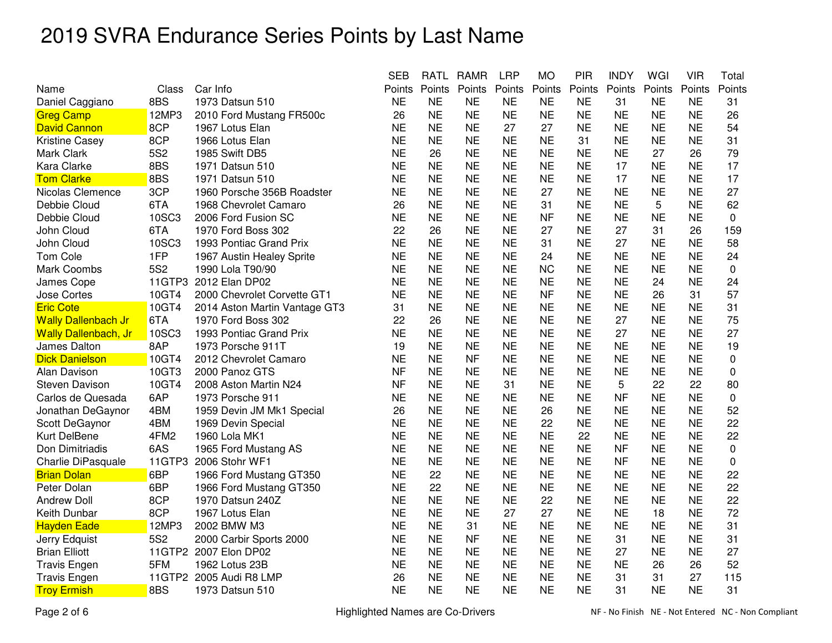|                              |        |                               | <b>SEB</b> | <b>RATL</b> | <b>RAMR</b> | <b>LRP</b> | <b>MO</b> | <b>PIR</b> | <b>INDY</b> | WGI       | <b>VIR</b> | Total       |
|------------------------------|--------|-------------------------------|------------|-------------|-------------|------------|-----------|------------|-------------|-----------|------------|-------------|
| Name                         | Class  | Car Info                      | Points     | Points      | Points      | Points     | Points    | Points     | Points      | Points    | Points     | Points      |
| Daniel Caggiano              | 8BS    | 1973 Datsun 510               | <b>NE</b>  | <b>NE</b>   | NΕ          | <b>NE</b>  | <b>NE</b> | <b>NE</b>  | 31          | <b>NE</b> | <b>NE</b>  | 31          |
| <b>Greg Camp</b>             | 12MP3  | 2010 Ford Mustang FR500c      | 26         | <b>NE</b>   | <b>NE</b>   | <b>NE</b>  | <b>NE</b> | <b>NE</b>  | <b>NE</b>   | <b>NE</b> | <b>NE</b>  | 26          |
| <b>David Cannon</b>          | 8CP    | 1967 Lotus Elan               | <b>NE</b>  | <b>NE</b>   | <b>NE</b>   | 27         | 27        | <b>NE</b>  | <b>NE</b>   | <b>NE</b> | <b>NE</b>  | 54          |
| <b>Kristine Casey</b>        | 8CP    | 1966 Lotus Elan               | <b>NE</b>  | <b>NE</b>   | <b>NE</b>   | <b>NE</b>  | <b>NE</b> | 31         | <b>NE</b>   | <b>NE</b> | <b>NE</b>  | 31          |
| Mark Clark                   | 5S2    | 1985 Swift DB5                | <b>NE</b>  | 26          | <b>NE</b>   | <b>NE</b>  | <b>NE</b> | <b>NE</b>  | <b>NE</b>   | 27        | 26         | 79          |
| <b>Kara Clarke</b>           | 8BS    | 1971 Datsun 510               | <b>NE</b>  | <b>NE</b>   | <b>NE</b>   | <b>NE</b>  | <b>NE</b> | <b>NE</b>  | 17          | <b>NE</b> | <b>NE</b>  | 17          |
| <b>Tom Clarke</b>            | 8BS    | 1971 Datsun 510               | <b>NE</b>  | <b>NE</b>   | <b>NE</b>   | <b>NE</b>  | <b>NE</b> | <b>NE</b>  | 17          | <b>NE</b> | <b>NE</b>  | 17          |
| Nicolas Clemence             | 3CP    | 1960 Porsche 356B Roadster    | <b>NE</b>  | <b>NE</b>   | <b>NE</b>   | <b>NE</b>  | 27        | <b>NE</b>  | <b>NE</b>   | <b>NE</b> | <b>NE</b>  | 27          |
| Debbie Cloud                 | 6TA    | 1968 Chevrolet Camaro         | 26         | <b>NE</b>   | <b>NE</b>   | <b>NE</b>  | 31        | <b>NE</b>  | <b>NE</b>   | 5         | <b>NE</b>  | 62          |
| Debbie Cloud                 | 10SC3  | 2006 Ford Fusion SC           | <b>NE</b>  | <b>NE</b>   | <b>NE</b>   | <b>NE</b>  | <b>NF</b> | <b>NE</b>  | <b>NE</b>   | <b>NE</b> | <b>NE</b>  | 0           |
| John Cloud                   | 6TA    | 1970 Ford Boss 302            | 22         | 26          | <b>NE</b>   | <b>NE</b>  | 27        | <b>NE</b>  | 27          | 31        | 26         | 159         |
| John Cloud                   | 10SC3  | 1993 Pontiac Grand Prix       | <b>NE</b>  | <b>NE</b>   | <b>NE</b>   | <b>NE</b>  | 31        | <b>NE</b>  | 27          | NE        | NE         | 58          |
| <b>Tom Cole</b>              | 1FP    | 1967 Austin Healey Sprite     | <b>NE</b>  | <b>NE</b>   | <b>NE</b>   | <b>NE</b>  | 24        | <b>NE</b>  | <b>NE</b>   | <b>NE</b> | <b>NE</b>  | 24          |
| Mark Coombs                  | 5S2    | 1990 Lola T90/90              | <b>NE</b>  | <b>NE</b>   | <b>NE</b>   | <b>NE</b>  | <b>NC</b> | <b>NE</b>  | <b>NE</b>   | <b>NE</b> | <b>NE</b>  | 0           |
| James Cope                   | 11GTP3 | 2012 Elan DP02                | <b>NE</b>  | <b>NE</b>   | <b>NE</b>   | <b>NE</b>  | <b>NE</b> | <b>NE</b>  | <b>NE</b>   | 24        | <b>NE</b>  | 24          |
| Jose Cortes                  | 10GT4  | 2000 Chevrolet Corvette GT1   | <b>NE</b>  | <b>NE</b>   | <b>NE</b>   | <b>NE</b>  | <b>NF</b> | <b>NE</b>  | <b>NE</b>   | 26        | 31         | 57          |
| <b>Eric Cote</b>             | 10GT4  | 2014 Aston Martin Vantage GT3 | 31         | <b>NE</b>   | <b>NE</b>   | <b>NE</b>  | <b>NE</b> | <b>NE</b>  | <b>NE</b>   | <b>NE</b> | <b>NE</b>  | 31          |
| <b>Wally Dallenbach Jr</b>   | 6TA    | 1970 Ford Boss 302            | 22         | 26          | <b>NE</b>   | <b>NE</b>  | <b>NE</b> | NE.        | 27          | ΝE        | NE         | 75          |
| <b>Wally Dallenbach, Jr.</b> | 10SC3  | 1993 Pontiac Grand Prix       | <b>NE</b>  | <b>NE</b>   | <b>NE</b>   | <b>NE</b>  | <b>NE</b> | <b>NE</b>  | 27          | <b>NE</b> | <b>NE</b>  | 27          |
| James Dalton                 | 8AP    | 1973 Porsche 911T             | 19         | <b>NE</b>   | <b>NE</b>   | <b>NE</b>  | <b>NE</b> | <b>NE</b>  | <b>NE</b>   | <b>NE</b> | <b>NE</b>  | 19          |
| <b>Dick Danielson</b>        | 10GT4  | 2012 Chevrolet Camaro         | <b>NE</b>  | <b>NE</b>   | <b>NF</b>   | <b>NE</b>  | <b>NE</b> | <b>NE</b>  | <b>NE</b>   | <b>NE</b> | <b>NE</b>  | 0           |
| Alan Davison                 | 10GT3  | 2000 Panoz GTS                | <b>NF</b>  | <b>NE</b>   | <b>NE</b>   | <b>NE</b>  | <b>NE</b> | <b>NE</b>  | <b>NE</b>   | <b>NE</b> | <b>NE</b>  | 0           |
| Steven Davison               | 10GT4  | 2008 Aston Martin N24         | <b>NF</b>  | <b>NE</b>   | <b>NE</b>   | 31         | <b>NE</b> | <b>NE</b>  | 5           | 22        | 22         | 80          |
| Carlos de Quesada            | 6AP    | 1973 Porsche 911              | <b>NE</b>  | <b>NE</b>   | <b>NE</b>   | <b>NE</b>  | <b>NE</b> | <b>NE</b>  | <b>NF</b>   | <b>NE</b> | <b>NE</b>  | $\mathbf 0$ |
| Jonathan DeGaynor            | 4BM    | 1959 Devin JM Mk1 Special     | 26         | <b>NE</b>   | <b>NE</b>   | <b>NE</b>  | 26        | <b>NE</b>  | <b>NE</b>   | <b>NE</b> | <b>NE</b>  | 52          |
| Scott DeGaynor               | 4BM    | 1969 Devin Special            | <b>NE</b>  | <b>NE</b>   | <b>NE</b>   | <b>NE</b>  | 22        | <b>NE</b>  | <b>NE</b>   | <b>NE</b> | <b>NE</b>  | 22          |
| Kurt DelBene                 | 4FM2   | 1960 Lola MK1                 | <b>NE</b>  | <b>NE</b>   | <b>NE</b>   | <b>NE</b>  | <b>NE</b> | 22         | <b>NE</b>   | <b>NE</b> | <b>NE</b>  | 22          |
| Don Dimitriadis              | 6AS    | 1965 Ford Mustang AS          | <b>NE</b>  | <b>NE</b>   | <b>NE</b>   | <b>NE</b>  | <b>NE</b> | <b>NE</b>  | <b>NF</b>   | <b>NE</b> | <b>NE</b>  | 0           |
| Charlie DiPasquale           | 11GTP3 | 2006 Stohr WF1                | <b>NE</b>  | <b>NE</b>   | <b>NE</b>   | <b>NE</b>  | <b>NE</b> | <b>NE</b>  | <b>NF</b>   | <b>NE</b> | <b>NE</b>  | 0           |
| <b>Brian Dolan</b>           | 6BP    | 1966 Ford Mustang GT350       | <b>NE</b>  | 22          | <b>NE</b>   | NE.        | <b>NE</b> | NE         | NE          | NΕ        | <b>NE</b>  | 22          |
| Peter Dolan                  | 6BP    | 1966 Ford Mustang GT350       | <b>NE</b>  | 22          | <b>NE</b>   | <b>NE</b>  | <b>NE</b> | <b>NE</b>  | <b>NE</b>   | <b>NE</b> | <b>NE</b>  | 22          |
| <b>Andrew Doll</b>           | 8CP    | 1970 Datsun 240Z              | <b>NE</b>  | <b>NE</b>   | <b>NE</b>   | <b>NE</b>  | 22        | <b>NE</b>  | <b>NE</b>   | <b>NE</b> | <b>NE</b>  | 22          |
| Keith Dunbar                 | 8CP    | 1967 Lotus Elan               | <b>NE</b>  | <b>NE</b>   | <b>NE</b>   | 27         | 27        | <b>NE</b>  | <b>NE</b>   | 18        | <b>NE</b>  | 72          |
| <b>Hayden Eade</b>           | 12MP3  | 2002 BMW M3                   | <b>NE</b>  | <b>NE</b>   | 31          | <b>NE</b>  | <b>NE</b> | <b>NE</b>  | <b>NE</b>   | <b>NE</b> | <b>NE</b>  | 31          |
| Jerry Edquist                | 5S2    | 2000 Carbir Sports 2000       | <b>NE</b>  | <b>NE</b>   | <b>NF</b>   | <b>NE</b>  | <b>NE</b> | <b>NE</b>  | 31          | <b>NE</b> | <b>NE</b>  | 31          |
| <b>Brian Elliott</b>         |        | 11GTP2 2007 Elon DP02         | <b>NE</b>  | <b>NE</b>   | <b>NE</b>   | <b>NE</b>  | <b>NE</b> | <b>NE</b>  | 27          | <b>NE</b> | <b>NE</b>  | 27          |
| <b>Travis Engen</b>          | 5FM    | 1962 Lotus 23B                | <b>NE</b>  | <b>NE</b>   | <b>NE</b>   | <b>NE</b>  | <b>NE</b> | <b>NE</b>  | <b>NE</b>   | 26        | 26         | 52          |
| <b>Travis Engen</b>          |        | 11GTP2 2005 Audi R8 LMP       | 26         | <b>NE</b>   | <b>NE</b>   | <b>NE</b>  | <b>NE</b> | <b>NE</b>  | 31          | 31        | 27         | 115         |
| <b>Troy Ermish</b>           | 8BS    | 1973 Datsun 510               | <b>NE</b>  | <b>NE</b>   | <b>NE</b>   | <b>NE</b>  | <b>NE</b> | <b>NE</b>  | 31          | <b>NE</b> | <b>NE</b>  | 31          |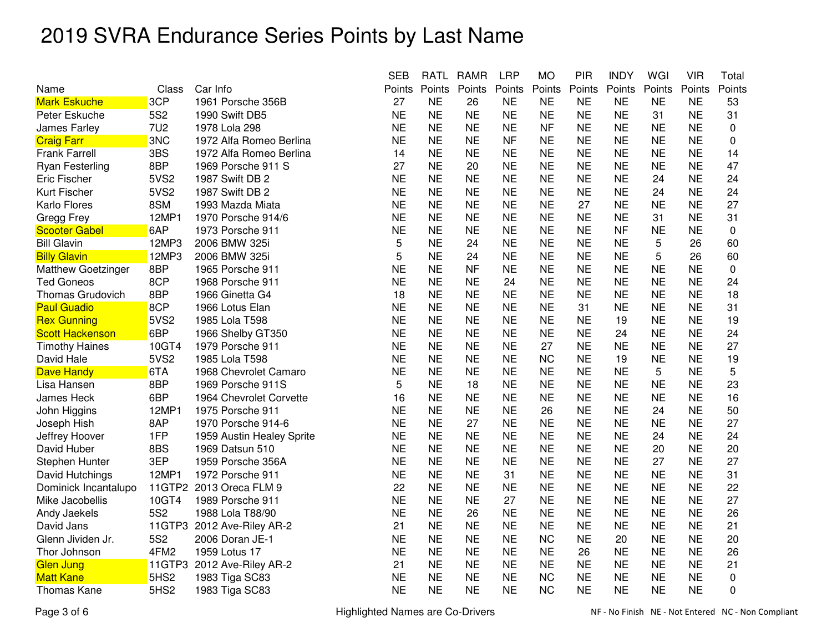|                           |                  |                            | <b>SEB</b> | <b>RATL</b> | <b>RAMR</b> | <b>LRP</b> | <b>MO</b> | <b>PIR</b> | <b>INDY</b> | WGI       | <b>VIR</b> | Total       |
|---------------------------|------------------|----------------------------|------------|-------------|-------------|------------|-----------|------------|-------------|-----------|------------|-------------|
| Name                      | Class            | Car Info                   | Points     | Points      | Points      | Points     | Points    | Points     | Points      | Points    | Points     | Points      |
| <b>Mark Eskuche</b>       | 3CP              | 1961 Porsche 356B          | 27         | <b>NE</b>   | 26          | <b>NE</b>  | <b>NE</b> | <b>NE</b>  | <b>NE</b>   | <b>NE</b> | <b>NE</b>  | 53          |
| Peter Eskuche             | 5S <sub>2</sub>  | 1990 Swift DB5             | <b>NE</b>  | <b>NE</b>   | <b>NE</b>   | <b>NE</b>  | <b>NE</b> | <b>NE</b>  | <b>NE</b>   | 31        | <b>NE</b>  | 31          |
| James Farley              | <b>7U2</b>       | 1978 Lola 298              | <b>NE</b>  | <b>NE</b>   | <b>NE</b>   | <b>NE</b>  | <b>NF</b> | <b>NE</b>  | <b>NE</b>   | <b>NE</b> | <b>NE</b>  | $\mathbf 0$ |
| <b>Craig Farr</b>         | 3NC              | 1972 Alfa Romeo Berlina    | <b>NE</b>  | <b>NE</b>   | <b>NE</b>   | <b>NF</b>  | <b>NE</b> | <b>NE</b>  | <b>NE</b>   | <b>NE</b> | <b>NE</b>  | 0           |
| <b>Frank Farrell</b>      | 3BS              | 1972 Alfa Romeo Berlina    | 14         | <b>NE</b>   | <b>NE</b>   | <b>NE</b>  | <b>NE</b> | <b>NE</b>  | <b>NE</b>   | <b>NE</b> | <b>NE</b>  | 14          |
| Ryan Festerling           | 8BP              | 1969 Porsche 911 S         | 27         | <b>NE</b>   | 20          | <b>NE</b>  | <b>NE</b> | <b>NE</b>  | <b>NE</b>   | <b>NE</b> | <b>NE</b>  | 47          |
| <b>Eric Fischer</b>       | 5VS2             | 1987 Swift DB 2            | <b>NE</b>  | <b>NE</b>   | <b>NE</b>   | <b>NE</b>  | <b>NE</b> | <b>NE</b>  | <b>NE</b>   | 24        | <b>NE</b>  | 24          |
| Kurt Fischer              | 5VS2             | 1987 Swift DB 2            | <b>NE</b>  | <b>NE</b>   | <b>NE</b>   | <b>NE</b>  | <b>NE</b> | <b>NE</b>  | <b>NE</b>   | 24        | <b>NE</b>  | 24          |
| Karlo Flores              | 8SM              | 1993 Mazda Miata           | <b>NE</b>  | <b>NE</b>   | <b>NE</b>   | <b>NE</b>  | <b>NE</b> | 27         | <b>NE</b>   | <b>NE</b> | <b>NE</b>  | 27          |
| Gregg Frey                | 12MP1            | 1970 Porsche 914/6         | <b>NE</b>  | <b>NE</b>   | <b>NE</b>   | <b>NE</b>  | <b>NE</b> | <b>NE</b>  | <b>NE</b>   | 31        | <b>NE</b>  | 31          |
| <b>Scooter Gabel</b>      | 6AP              | 1973 Porsche 911           | <b>NE</b>  | <b>NE</b>   | <b>NE</b>   | <b>NE</b>  | <b>NE</b> | <b>NE</b>  | <b>NF</b>   | <b>NE</b> | <b>NE</b>  | 0           |
| <b>Bill Glavin</b>        | 12MP3            | 2006 BMW 325i              | 5          | <b>NE</b>   | 24          | <b>NE</b>  | <b>NE</b> | <b>NE</b>  | <b>NE</b>   | 5         | 26         | 60          |
| <b>Billy Glavin</b>       | 12MP3            | 2006 BMW 325i              | 5          | <b>NE</b>   | 24          | <b>NE</b>  | <b>NE</b> | <b>NE</b>  | <b>NE</b>   | 5         | 26         | 60          |
| <b>Matthew Goetzinger</b> | 8BP              | 1965 Porsche 911           | <b>NE</b>  | <b>NE</b>   | <b>NF</b>   | <b>NE</b>  | <b>NE</b> | <b>NE</b>  | <b>NE</b>   | <b>NE</b> | <b>NE</b>  | 0           |
| <b>Ted Goneos</b>         | 8CP              | 1968 Porsche 911           | <b>NE</b>  | <b>NE</b>   | <b>NE</b>   | 24         | <b>NE</b> | <b>NE</b>  | <b>NE</b>   | <b>NE</b> | <b>NE</b>  | 24          |
| <b>Thomas Grudovich</b>   | 8BP              | 1966 Ginetta G4            | 18         | <b>NE</b>   | <b>NE</b>   | <b>NE</b>  | <b>NE</b> | <b>NE</b>  | <b>NE</b>   | <b>NE</b> | <b>NE</b>  | 18          |
| <b>Paul Guadio</b>        | 8CP              | 1966 Lotus Elan            | <b>NE</b>  | <b>NE</b>   | <b>NE</b>   | <b>NE</b>  | <b>NE</b> | 31         | <b>NE</b>   | <b>NE</b> | <b>NE</b>  | 31          |
| <b>Rex Gunning</b>        | 5VS2             | 1985 Lola T598             | <b>NE</b>  | <b>NE</b>   | <b>NE</b>   | <b>NE</b>  | <b>NE</b> | <b>NE</b>  | 19          | NE        | <b>NE</b>  | 19          |
| <b>Scott Hackenson</b>    | 6BP              | 1966 Shelby GT350          | <b>NE</b>  | <b>NE</b>   | <b>NE</b>   | <b>NE</b>  | <b>NE</b> | <b>NE</b>  | 24          | <b>NE</b> | <b>NE</b>  | 24          |
| <b>Timothy Haines</b>     | 10GT4            | 1979 Porsche 911           | <b>NE</b>  | <b>NE</b>   | <b>NE</b>   | <b>NE</b>  | 27        | <b>NE</b>  | <b>NE</b>   | <b>NE</b> | <b>NE</b>  | 27          |
| David Hale                | 5VS2             | 1985 Lola T598             | <b>NE</b>  | <b>NE</b>   | <b>NE</b>   | <b>NE</b>  | <b>NC</b> | <b>NE</b>  | 19          | <b>NE</b> | <b>NE</b>  | 19          |
| <b>Dave Handy</b>         | 6TA              | 1968 Chevrolet Camaro      | <b>NE</b>  | <b>NE</b>   | <b>NE</b>   | <b>NE</b>  | <b>NE</b> | <b>NE</b>  | <b>NE</b>   | 5         | <b>NE</b>  | 5           |
| Lisa Hansen               | 8BP              | 1969 Porsche 911S          | 5          | <b>NE</b>   | 18          | <b>NE</b>  | <b>NE</b> | <b>NE</b>  | <b>NE</b>   | <b>NE</b> | <b>NE</b>  | 23          |
| James Heck                | 6BP              | 1964 Chevrolet Corvette    | 16         | <b>NE</b>   | <b>NE</b>   | <b>NE</b>  | <b>NE</b> | <b>NE</b>  | <b>NE</b>   | <b>NE</b> | <b>NE</b>  | 16          |
| John Higgins              | 12MP1            | 1975 Porsche 911           | <b>NE</b>  | <b>NE</b>   | <b>NE</b>   | <b>NE</b>  | 26        | <b>NE</b>  | <b>NE</b>   | 24        | <b>NE</b>  | 50          |
| Joseph Hish               | 8AP              | 1970 Porsche 914-6         | <b>NE</b>  | <b>NE</b>   | 27          | <b>NE</b>  | <b>NE</b> | <b>NE</b>  | <b>NE</b>   | <b>NE</b> | <b>NE</b>  | 27          |
| Jeffrey Hoover            | 1FP              | 1959 Austin Healey Sprite  | <b>NE</b>  | <b>NE</b>   | <b>NE</b>   | <b>NE</b>  | <b>NE</b> | <b>NE</b>  | <b>NE</b>   | 24        | <b>NE</b>  | 24          |
| David Huber               | 8BS              | 1969 Datsun 510            | <b>NE</b>  | <b>NE</b>   | <b>NE</b>   | <b>NE</b>  | <b>NE</b> | <b>NE</b>  | <b>NE</b>   | 20        | <b>NE</b>  | 20          |
| Stephen Hunter            | 3EP              | 1959 Porsche 356A          | <b>NE</b>  | <b>NE</b>   | <b>NE</b>   | <b>NE</b>  | <b>NE</b> | <b>NE</b>  | <b>NE</b>   | 27        | <b>NE</b>  | 27          |
| David Hutchings           | 12MP1            | 1972 Porsche 911           | <b>NE</b>  | <b>NE</b>   | <b>NE</b>   | 31         | <b>NE</b> | <b>NE</b>  | <b>NE</b>   | <b>NE</b> | <b>NE</b>  | 31          |
| Dominick Incantalupo      | 11GTP2           | 2013 Oreca FLM 9           | 22         | <b>NE</b>   | <b>NE</b>   | <b>NE</b>  | <b>NE</b> | <b>NE</b>  | <b>NE</b>   | <b>NE</b> | <b>NE</b>  | 22          |
| Mike Jacobellis           | 10GT4            | 1989 Porsche 911           | <b>NE</b>  | <b>NE</b>   | <b>NE</b>   | 27         | <b>NE</b> | <b>NE</b>  | <b>NE</b>   | <b>NE</b> | <b>NE</b>  | 27          |
| Andy Jaekels              | <b>5S2</b>       | 1988 Lola T88/90           | <b>NE</b>  | <b>NE</b>   | 26          | <b>NE</b>  | <b>NE</b> | <b>NE</b>  | <b>NE</b>   | <b>NE</b> | <b>NE</b>  | 26          |
| David Jans                |                  | 11GTP3 2012 Ave-Riley AR-2 | 21         | <b>NE</b>   | <b>NE</b>   | <b>NE</b>  | <b>NE</b> | <b>NE</b>  | <b>NE</b>   | <b>NE</b> | <b>NE</b>  | 21          |
| Glenn Jividen Jr.         | <b>5S2</b>       | 2006 Doran JE-1            | <b>NE</b>  | <b>NE</b>   | <b>NE</b>   | <b>NE</b>  | <b>NC</b> | <b>NE</b>  | 20          | <b>NE</b> | <b>NE</b>  | 20          |
| Thor Johnson              | 4FM2             | 1959 Lotus 17              | <b>NE</b>  | <b>NE</b>   | <b>NE</b>   | <b>NE</b>  | <b>NE</b> | 26         | <b>NE</b>   | <b>NE</b> | <b>NE</b>  | 26          |
| <b>Glen Jung</b>          | 11GTP3           | 2012 Ave-Riley AR-2        | 21         | <b>NE</b>   | <b>NE</b>   | <b>NE</b>  | <b>NE</b> | <b>NE</b>  | <b>NE</b>   | <b>NE</b> | <b>NE</b>  | 21          |
| <b>Matt Kane</b>          | 5HS <sub>2</sub> | 1983 Tiga SC83             | <b>NE</b>  | <b>NE</b>   | <b>NE</b>   | <b>NE</b>  | <b>NC</b> | <b>NE</b>  | <b>NE</b>   | <b>NE</b> | <b>NE</b>  | $\mathbf 0$ |
| <b>Thomas Kane</b>        | 5HS <sub>2</sub> | 1983 Tiga SC83             | <b>NE</b>  | <b>NE</b>   | <b>NE</b>   | <b>NE</b>  | <b>NC</b> | <b>NE</b>  | <b>NE</b>   | <b>NE</b> | <b>NE</b>  | 0           |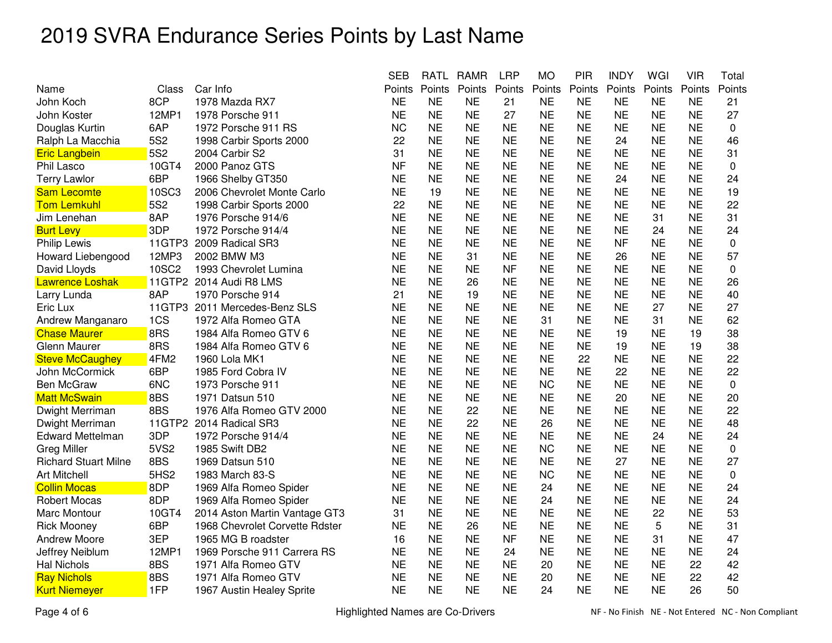|                             |                  |                                | <b>SEB</b> | <b>RATL</b> | <b>RAMR</b> | <b>LRP</b> | <b>MO</b> | <b>PIR</b> | <b>INDY</b> | WGI       | <b>VIR</b> | Total     |
|-----------------------------|------------------|--------------------------------|------------|-------------|-------------|------------|-----------|------------|-------------|-----------|------------|-----------|
| Name                        | Class            | Car Info                       | Points     | Points      | Points      | Points     | Points    | Points     | Points      | Points    | Points     | Points    |
| John Koch                   | 8CP              | 1978 Mazda RX7                 | <b>NE</b>  | <b>NE</b>   | <b>NE</b>   | 21         | <b>NE</b> | <b>NE</b>  | <b>NE</b>   | <b>NE</b> | <b>NE</b>  | 21        |
| John Koster                 | 12MP1            | 1978 Porsche 911               | <b>NE</b>  | <b>NE</b>   | <b>NE</b>   | 27         | <b>NE</b> | <b>NE</b>  | <b>NE</b>   | <b>NE</b> | <b>NE</b>  | 27        |
| Douglas Kurtin              | 6AP              | 1972 Porsche 911 RS            | <b>NC</b>  | <b>NE</b>   | <b>NE</b>   | <b>NE</b>  | <b>NE</b> | <b>NE</b>  | <b>NE</b>   | <b>NE</b> | <b>NE</b>  | 0         |
| Ralph La Macchia            | 5S2              | 1998 Carbir Sports 2000        | 22         | <b>NE</b>   | <b>NE</b>   | <b>NE</b>  | <b>NE</b> | <b>NE</b>  | 24          | <b>NE</b> | <b>NE</b>  | 46        |
| <b>Eric Langbein</b>        | 5S2              | 2004 Carbir S2                 | 31         | <b>NE</b>   | <b>NE</b>   | <b>NE</b>  | <b>NE</b> | <b>NE</b>  | <b>NE</b>   | <b>NE</b> | <b>NE</b>  | 31        |
| Phil Lasco                  | 10GT4            | 2000 Panoz GTS                 | <b>NF</b>  | <b>NE</b>   | <b>NE</b>   | <b>NE</b>  | <b>NE</b> | <b>NE</b>  | NE          | <b>NE</b> | <b>NE</b>  | 0         |
| <b>Terry Lawlor</b>         | 6BP              | 1966 Shelby GT350              | <b>NE</b>  | <b>NE</b>   | <b>NE</b>   | <b>NE</b>  | <b>NE</b> | <b>NE</b>  | 24          | <b>NE</b> | <b>NE</b>  | 24        |
| <b>Sam Lecomte</b>          | 10SC3            | 2006 Chevrolet Monte Carlo     | <b>NE</b>  | 19          | <b>NE</b>   | <b>NE</b>  | <b>NE</b> | <b>NE</b>  | <b>NE</b>   | <b>NE</b> | <b>NE</b>  | 19        |
| <b>Tom Lemkuhl</b>          | 5S2              | 1998 Carbir Sports 2000        | 22         | <b>NE</b>   | <b>NE</b>   | <b>NE</b>  | <b>NE</b> | <b>NE</b>  | <b>NE</b>   | <b>NE</b> | <b>NE</b>  | 22        |
| Jim Lenehan                 | 8AP              | 1976 Porsche 914/6             | <b>NE</b>  | <b>NE</b>   | <b>NE</b>   | <b>NE</b>  | <b>NE</b> | <b>NE</b>  | <b>NE</b>   | 31        | <b>NE</b>  | 31        |
| <b>Burt Levy</b>            | 3DP              | 1972 Porsche 914/4             | <b>NE</b>  | <b>NE</b>   | <b>NE</b>   | <b>NE</b>  | <b>NE</b> | <b>NE</b>  | ΝE          | 24        | <b>NE</b>  | 24        |
| <b>Philip Lewis</b>         | 11GTP3           | 2009 Radical SR3               | <b>NE</b>  | <b>NE</b>   | <b>NE</b>   | <b>NE</b>  | <b>NE</b> | <b>NE</b>  | <b>NF</b>   | <b>NE</b> | <b>NE</b>  | $\pmb{0}$ |
| Howard Liebengood           | 12MP3            | 2002 BMW M3                    | <b>NE</b>  | <b>NE</b>   | 31          | <b>NE</b>  | <b>NE</b> | <b>NE</b>  | 26          | <b>NE</b> | <b>NE</b>  | 57        |
| David Lloyds                | 10SC2            | 1993 Chevrolet Lumina          | <b>NE</b>  | <b>NE</b>   | <b>NE</b>   | <b>NF</b>  | <b>NE</b> | <b>NE</b>  | <b>NE</b>   | <b>NE</b> | <b>NE</b>  | $\pmb{0}$ |
| <b>Lawrence Loshak</b>      |                  | 11GTP2 2014 Audi R8 LMS        | <b>NE</b>  | <b>NE</b>   | 26          | <b>NE</b>  | <b>NE</b> | <b>NE</b>  | <b>NE</b>   | <b>NE</b> | <b>NE</b>  | 26        |
| Larry Lunda                 | 8AP              | 1970 Porsche 914               | 21         | <b>NE</b>   | 19          | <b>NE</b>  | <b>NE</b> | <b>NE</b>  | <b>NE</b>   | <b>NE</b> | <b>NE</b>  | 40        |
| Eric Lux                    | 11GTP3           | 2011 Mercedes-Benz SLS         | <b>NE</b>  | <b>NE</b>   | <b>NE</b>   | <b>NE</b>  | <b>NE</b> | <b>NE</b>  | <b>NE</b>   | 27        | <b>NE</b>  | 27        |
| Andrew Manganaro            | 1CS              | 1972 Alfa Romeo GTA            | <b>NE</b>  | <b>NE</b>   | <b>NE</b>   | <b>NE</b>  | 31        | <b>NE</b>  | <b>NE</b>   | 31        | <b>NE</b>  | 62        |
| <b>Chase Maurer</b>         | 8RS              | 1984 Alfa Romeo GTV 6          | <b>NE</b>  | <b>NE</b>   | <b>NE</b>   | <b>NE</b>  | <b>NE</b> | <b>NE</b>  | 19          | <b>NE</b> | 19         | 38        |
| Glenn Maurer                | 8RS              | 1984 Alfa Romeo GTV 6          | <b>NE</b>  | <b>NE</b>   | <b>NE</b>   | <b>NE</b>  | <b>NE</b> | <b>NE</b>  | 19          | <b>NE</b> | 19         | 38        |
| <b>Steve McCaughey</b>      | 4FM2             | 1960 Lola MK1                  | <b>NE</b>  | <b>NE</b>   | <b>NE</b>   | <b>NE</b>  | <b>NE</b> | 22         | <b>NE</b>   | <b>NE</b> | <b>NE</b>  | 22        |
| John McCormick              | 6BP              | 1985 Ford Cobra IV             | <b>NE</b>  | <b>NE</b>   | <b>NE</b>   | <b>NE</b>  | <b>NE</b> | <b>NE</b>  | 22          | <b>NE</b> | <b>NE</b>  | 22        |
| <b>Ben McGraw</b>           | 6NC              | 1973 Porsche 911               | <b>NE</b>  | <b>NE</b>   | <b>NE</b>   | <b>NE</b>  | <b>NC</b> | <b>NE</b>  | <b>NE</b>   | <b>NE</b> | <b>NE</b>  | 0         |
| <b>Matt McSwain</b>         | 8BS              | 1971 Datsun 510                | <b>NE</b>  | <b>NE</b>   | <b>NE</b>   | <b>NE</b>  | <b>NE</b> | <b>NE</b>  | 20          | <b>NE</b> | <b>NE</b>  | 20        |
| Dwight Merriman             | 8BS              | 1976 Alfa Romeo GTV 2000       | <b>NE</b>  | <b>NE</b>   | 22          | <b>NE</b>  | <b>NE</b> | <b>NE</b>  | <b>NE</b>   | <b>NE</b> | <b>NE</b>  | 22        |
| Dwight Merriman             |                  | 11GTP2 2014 Radical SR3        | <b>NE</b>  | <b>NE</b>   | 22          | <b>NE</b>  | 26        | <b>NE</b>  | <b>NE</b>   | <b>NE</b> | <b>NE</b>  | 48        |
| <b>Edward Mettelman</b>     | 3DP              | 1972 Porsche 914/4             | <b>NE</b>  | <b>NE</b>   | <b>NE</b>   | <b>NE</b>  | <b>NE</b> | <b>NE</b>  | <b>NE</b>   | 24        | <b>NE</b>  | 24        |
| <b>Greg Miller</b>          | 5VS2             | 1985 Swift DB2                 | <b>NE</b>  | <b>NE</b>   | <b>NE</b>   | <b>NE</b>  | <b>NC</b> | <b>NE</b>  | <b>NE</b>   | <b>NE</b> | <b>NE</b>  | 0         |
| <b>Richard Stuart Milne</b> | 8BS              | 1969 Datsun 510                | <b>NE</b>  | <b>NE</b>   | <b>NE</b>   | <b>NE</b>  | <b>NE</b> | <b>NE</b>  | 27          | <b>NE</b> | <b>NE</b>  | 27        |
| <b>Art Mitchell</b>         | 5HS <sub>2</sub> | 1983 March 83-S                | <b>NE</b>  | <b>NE</b>   | <b>NE</b>   | <b>NE</b>  | <b>NC</b> | <b>NE</b>  | <b>NE</b>   | <b>NE</b> | <b>NE</b>  | $\pmb{0}$ |
| <b>Collin Mocas</b>         | 8DP              | 1969 Alfa Romeo Spider         | <b>NE</b>  | <b>NE</b>   | <b>NE</b>   | <b>NE</b>  | 24        | <b>NE</b>  | <b>NE</b>   | <b>NE</b> | <b>NE</b>  | 24        |
| <b>Robert Mocas</b>         | 8DP              | 1969 Alfa Romeo Spider         | <b>NE</b>  | <b>NE</b>   | <b>NE</b>   | <b>NE</b>  | 24        | <b>NE</b>  | <b>NE</b>   | <b>NE</b> | <b>NE</b>  | 24        |
| Marc Montour                | 10GT4            | 2014 Aston Martin Vantage GT3  | 31         | <b>NE</b>   | <b>NE</b>   | <b>NE</b>  | <b>NE</b> | <b>NE</b>  | <b>NE</b>   | 22        | <b>NE</b>  | 53        |
| <b>Rick Mooney</b>          | 6BP              | 1968 Chevrolet Corvette Rdster | <b>NE</b>  | <b>NE</b>   | 26          | <b>NE</b>  | <b>NE</b> | <b>NE</b>  | ΝE          | 5         | <b>NE</b>  | 31        |
| <b>Andrew Moore</b>         | 3EP              | 1965 MG B roadster             | 16         | <b>NE</b>   | <b>NE</b>   | <b>NF</b>  | <b>NE</b> | <b>NE</b>  | <b>NE</b>   | 31        | <b>NE</b>  | 47        |
| Jeffrey Neiblum             | 12MP1            | 1969 Porsche 911 Carrera RS    | <b>NE</b>  | <b>NE</b>   | <b>NE</b>   | 24         | <b>NE</b> | <b>NE</b>  | <b>NE</b>   | <b>NE</b> | <b>NE</b>  | 24        |
| <b>Hal Nichols</b>          | 8BS              | 1971 Alfa Romeo GTV            | <b>NE</b>  | <b>NE</b>   | <b>NE</b>   | <b>NE</b>  | 20        | <b>NE</b>  | <b>NE</b>   | <b>NE</b> | 22         | 42        |
| <b>Ray Nichols</b>          | 8BS              | 1971 Alfa Romeo GTV            | <b>NE</b>  | <b>NE</b>   | <b>NE</b>   | <b>NE</b>  | 20        | <b>NE</b>  | <b>NE</b>   | <b>NE</b> | 22         | 42        |
| <b>Kurt Niemeyer</b>        | 1FP              | 1967 Austin Healey Sprite      | <b>NE</b>  | <b>NE</b>   | <b>NE</b>   | <b>NE</b>  | 24        | <b>NE</b>  | <b>NE</b>   | <b>NE</b> | 26         | 50        |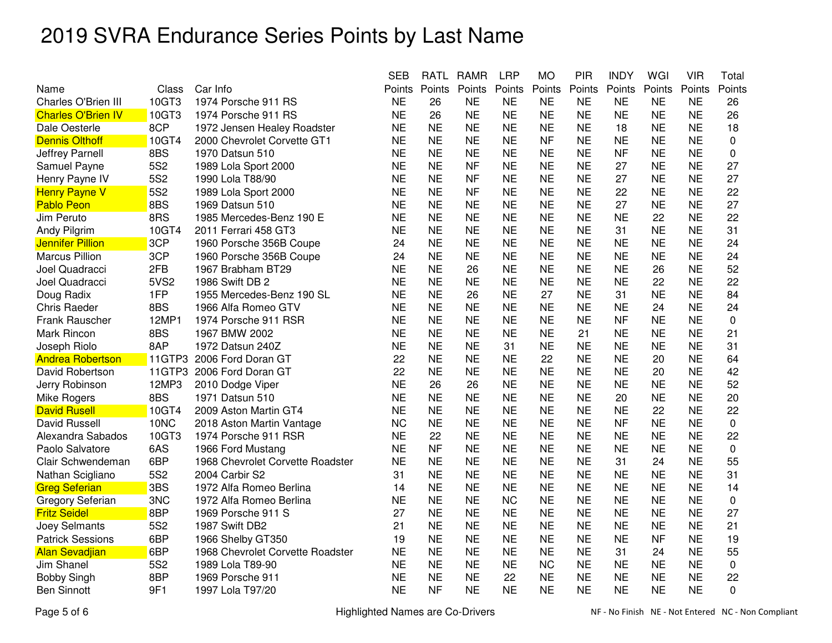|                           |                 |                                  | <b>SEB</b> | RATL      | RAMR      | <b>LRP</b> | МO        | PIR       | <b>INDY</b> | WGI       | VIR       | Total       |
|---------------------------|-----------------|----------------------------------|------------|-----------|-----------|------------|-----------|-----------|-------------|-----------|-----------|-------------|
| Name                      | Class           | Car Info                         | Points     | Points    | Points    | Points     | Points    | Points    | Points      | Points    | Points    | Points      |
| Charles O'Brien III       | 10GT3           | 1974 Porsche 911 RS              | <b>NE</b>  | 26        | <b>NE</b> | <b>NE</b>  | <b>NE</b> | <b>NE</b> | <b>NE</b>   | <b>NE</b> | <b>NE</b> | 26          |
| <b>Charles O'Brien IV</b> | 10GT3           | 1974 Porsche 911 RS              | <b>NE</b>  | 26        | <b>NE</b> | <b>NE</b>  | <b>NE</b> | <b>NE</b> | <b>NE</b>   | <b>NE</b> | <b>NE</b> | 26          |
| Dale Oesterle             | 8CP             | 1972 Jensen Healey Roadster      | <b>NE</b>  | <b>NE</b> | <b>NE</b> | <b>NE</b>  | <b>NE</b> | <b>NE</b> | 18          | <b>NE</b> | <b>NE</b> | 18          |
| <b>Dennis Olthoff</b>     | 10GT4           | 2000 Chevrolet Corvette GT1      | <b>NE</b>  | <b>NE</b> | <b>NE</b> | <b>NE</b>  | <b>NF</b> | <b>NE</b> | <b>NE</b>   | <b>NE</b> | <b>NE</b> | 0           |
| Jeffrey Parnell           | 8BS             | 1970 Datsun 510                  | <b>NE</b>  | <b>NE</b> | <b>NE</b> | <b>NE</b>  | <b>NE</b> | <b>NE</b> | <b>NF</b>   | <b>NE</b> | <b>NE</b> | 0           |
| Samuel Payne              | 5S <sub>2</sub> | 1989 Lola Sport 2000             | <b>NE</b>  | <b>NE</b> | <b>NF</b> | <b>NE</b>  | <b>NE</b> | <b>NE</b> | 27          | <b>NE</b> | <b>NE</b> | 27          |
| Henry Payne IV            | 5S <sub>2</sub> | 1990 Lola T88/90                 | <b>NE</b>  | <b>NE</b> | <b>NF</b> | <b>NE</b>  | <b>NE</b> | <b>NE</b> | 27          | <b>NE</b> | <b>NE</b> | 27          |
| <b>Henry Payne V</b>      | <b>5S2</b>      | 1989 Lola Sport 2000             | <b>NE</b>  | <b>NE</b> | <b>NF</b> | <b>NE</b>  | <b>NE</b> | <b>NE</b> | 22          | <b>NE</b> | <b>NE</b> | 22          |
| <b>Pablo Peon</b>         | 8BS             | 1969 Datsun 510                  | <b>NE</b>  | <b>NE</b> | <b>NE</b> | <b>NE</b>  | <b>NE</b> | <b>NE</b> | 27          | <b>NE</b> | <b>NE</b> | 27          |
| Jim Peruto                | 8RS             | 1985 Mercedes-Benz 190 E         | <b>NE</b>  | <b>NE</b> | <b>NE</b> | <b>NE</b>  | <b>NE</b> | <b>NE</b> | <b>NE</b>   | 22        | <b>NE</b> | 22          |
| Andy Pilgrim              | 10GT4           | 2011 Ferrari 458 GT3             | <b>NE</b>  | <b>NE</b> | <b>NE</b> | <b>NE</b>  | <b>NE</b> | <b>NE</b> | 31          | <b>NE</b> | <b>NE</b> | 31          |
| <b>Jennifer Pillion</b>   | 3CP             | 1960 Porsche 356B Coupe          | 24         | <b>NE</b> | <b>NE</b> | <b>NE</b>  | <b>NE</b> | <b>NE</b> | <b>NE</b>   | <b>NE</b> | <b>NE</b> | 24          |
| <b>Marcus Pillion</b>     | 3CP             | 1960 Porsche 356B Coupe          | 24         | <b>NE</b> | <b>NE</b> | <b>NE</b>  | <b>NE</b> | <b>NE</b> | <b>NE</b>   | <b>NE</b> | <b>NE</b> | 24          |
| Joel Quadracci            | 2FB             | 1967 Brabham BT29                | <b>NE</b>  | <b>NE</b> | 26        | <b>NE</b>  | <b>NE</b> | <b>NE</b> | <b>NE</b>   | 26        | <b>NE</b> | 52          |
| Joel Quadracci            | 5VS2            | 1986 Swift DB 2                  | <b>NE</b>  | <b>NE</b> | <b>NE</b> | <b>NE</b>  | <b>NE</b> | <b>NE</b> | <b>NE</b>   | 22        | <b>NE</b> | 22          |
| Doug Radix                | 1FP             | 1955 Mercedes-Benz 190 SL        | <b>NE</b>  | <b>NE</b> | 26        | <b>NE</b>  | 27        | <b>NE</b> | 31          | <b>NE</b> | <b>NE</b> | 84          |
| <b>Chris Raeder</b>       | 8BS             | 1966 Alfa Romeo GTV              | <b>NE</b>  | <b>NE</b> | <b>NE</b> | <b>NE</b>  | <b>NE</b> | <b>NE</b> | <b>NE</b>   | 24        | <b>NE</b> | 24          |
| Frank Rauscher            | 12MP1           | 1974 Porsche 911 RSR             | <b>NE</b>  | <b>NE</b> | <b>NE</b> | <b>NE</b>  | <b>NE</b> | <b>NE</b> | <b>NF</b>   | <b>NE</b> | <b>NE</b> | 0           |
| Mark Rincon               | 8BS             | 1967 BMW 2002                    | <b>NE</b>  | <b>NE</b> | <b>NE</b> | <b>NE</b>  | <b>NE</b> | 21        | <b>NE</b>   | <b>NE</b> | <b>NE</b> | 21          |
| Joseph Riolo              | 8AP             | 1972 Datsun 240Z                 | <b>NE</b>  | <b>NE</b> | <b>NE</b> | 31         | <b>NE</b> | <b>NE</b> | <b>NE</b>   | <b>NE</b> | <b>NE</b> | 31          |
| <b>Andrea Robertson</b>   | 11GTP3          | 2006 Ford Doran GT               | 22         | <b>NE</b> | <b>NE</b> | <b>NE</b>  | 22        | <b>NE</b> | <b>NE</b>   | 20        | <b>NE</b> | 64          |
| David Robertson           | 11GTP3          | 2006 Ford Doran GT               | 22         | <b>NE</b> | <b>NE</b> | <b>NE</b>  | <b>NE</b> | <b>NE</b> | <b>NE</b>   | 20        | <b>NE</b> | 42          |
| Jerry Robinson            | 12MP3           | 2010 Dodge Viper                 | <b>NE</b>  | 26        | 26        | <b>NE</b>  | <b>NE</b> | <b>NE</b> | <b>NE</b>   | <b>NE</b> | <b>NE</b> | 52          |
| Mike Rogers               | 8BS             | 1971 Datsun 510                  | <b>NE</b>  | <b>NE</b> | <b>NE</b> | <b>NE</b>  | <b>NE</b> | <b>NE</b> | 20          | <b>NE</b> | <b>NE</b> | 20          |
| <b>David Rusell</b>       | 10GT4           | 2009 Aston Martin GT4            | <b>NE</b>  | <b>NE</b> | <b>NE</b> | <b>NE</b>  | <b>NE</b> | <b>NE</b> | <b>NE</b>   | 22        | <b>NE</b> | 22          |
| <b>David Russell</b>      | 10NC            | 2018 Aston Martin Vantage        | <b>NC</b>  | <b>NE</b> | <b>NE</b> | <b>NE</b>  | <b>NE</b> | <b>NE</b> | <b>NF</b>   | <b>NE</b> | <b>NE</b> | $\pmb{0}$   |
| Alexandra Sabados         | 10GT3           | 1974 Porsche 911 RSR             | <b>NE</b>  | 22        | <b>NE</b> | <b>NE</b>  | <b>NE</b> | <b>NE</b> | <b>NE</b>   | <b>NE</b> | <b>NE</b> | 22          |
| Paolo Salvatore           | 6AS             | 1966 Ford Mustang                | <b>NE</b>  | <b>NF</b> | <b>NE</b> | <b>NE</b>  | <b>NE</b> | <b>NE</b> | <b>NE</b>   | <b>NE</b> | <b>NE</b> | $\mathbf 0$ |
| Clair Schwendeman         | 6BP             | 1968 Chevrolet Corvette Roadster | <b>NE</b>  | <b>NE</b> | <b>NE</b> | <b>NE</b>  | <b>NE</b> | <b>NE</b> | 31          | 24        | <b>NE</b> | 55          |
| Nathan Scigliano          | 5S <sub>2</sub> | 2004 Carbir S2                   | 31         | <b>NE</b> | <b>NE</b> | <b>NE</b>  | <b>NE</b> | <b>NE</b> | <b>NE</b>   | <b>NE</b> | <b>NE</b> | 31          |
| <b>Greg Seferian</b>      | 3BS             | 1972 Alfa Romeo Berlina          | 14         | <b>NE</b> | <b>NE</b> | <b>NE</b>  | <b>NE</b> | <b>NE</b> | <b>NE</b>   | <b>NE</b> | <b>NE</b> | 14          |
| Gregory Seferian          | 3NC             | 1972 Alfa Romeo Berlina          | <b>NE</b>  | <b>NE</b> | <b>NE</b> | <b>NC</b>  | <b>NE</b> | <b>NE</b> | <b>NE</b>   | <b>NE</b> | <b>NE</b> | $\pmb{0}$   |
| <b>Fritz Seidel</b>       | 8BP             | 1969 Porsche 911 S               | 27         | <b>NE</b> | <b>NE</b> | <b>NE</b>  | <b>NE</b> | <b>NE</b> | <b>NE</b>   | <b>NE</b> | <b>NE</b> | 27          |
| Joey Selmants             | 5S <sub>2</sub> | 1987 Swift DB2                   | 21         | <b>NE</b> | <b>NE</b> | <b>NE</b>  | <b>NE</b> | <b>NE</b> | <b>NE</b>   | <b>NE</b> | <b>NE</b> | 21          |
| <b>Patrick Sessions</b>   | 6BP             | 1966 Shelby GT350                | 19         | <b>NE</b> | <b>NE</b> | <b>NE</b>  | <b>NE</b> | <b>NE</b> | <b>NE</b>   | <b>NF</b> | <b>NE</b> | 19          |
| <b>Alan Sevadjian</b>     | 6BP             | 1968 Chevrolet Corvette Roadster | <b>NE</b>  | <b>NE</b> | <b>NE</b> | <b>NE</b>  | <b>NE</b> | <b>NE</b> | 31          | 24        | <b>NE</b> | 55          |
| Jim Shanel                | <b>5S2</b>      | 1989 Lola T89-90                 | <b>NE</b>  | <b>NE</b> | <b>NE</b> | <b>NE</b>  | <b>NC</b> | <b>NE</b> | <b>NE</b>   | <b>NE</b> | <b>NE</b> | 0           |
| <b>Bobby Singh</b>        | 8BP             | 1969 Porsche 911                 | <b>NE</b>  | <b>NE</b> | <b>NE</b> | 22         | <b>NE</b> | <b>NE</b> | <b>NE</b>   | <b>NE</b> | <b>NE</b> | 22          |
| <b>Ben Sinnott</b>        | 9F1             | 1997 Lola T97/20                 | <b>NE</b>  | <b>NF</b> | <b>NE</b> | <b>NE</b>  | <b>NE</b> | <b>NE</b> | <b>NE</b>   | <b>NE</b> | <b>NE</b> | $\Omega$    |